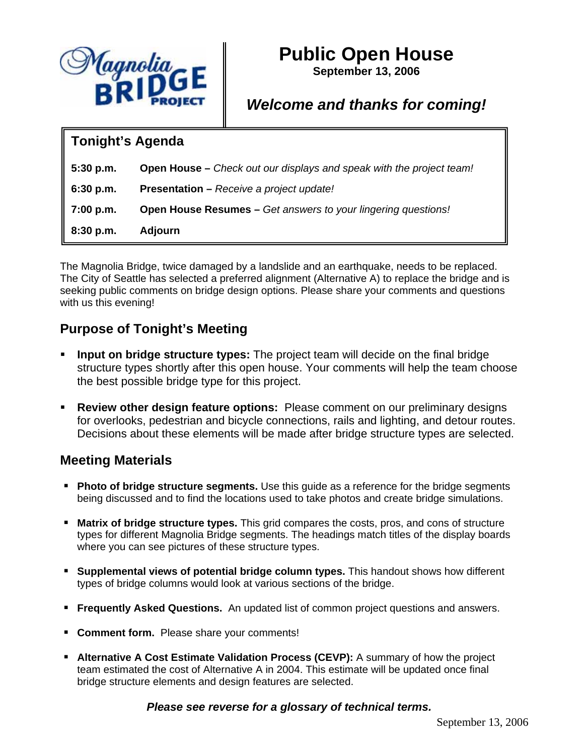

# **Public Open House**

**September 13, 2006** 

## *Welcome and thanks for coming!*

#### **Tonight's Agenda**

| $5:30$ p.m. | <b>Open House</b> – Check out our displays and speak with the project team! |
|-------------|-----------------------------------------------------------------------------|
| 6:30 p.m.   | <b>Presentation - Receive a project update!</b>                             |
| 7:00 p.m.   | <b>Open House Resumes –</b> Get answers to your lingering questions!        |
| 8:30 p.m.   | <b>Adjourn</b>                                                              |

The Magnolia Bridge, twice damaged by a landslide and an earthquake, needs to be replaced. The City of Seattle has selected a preferred alignment (Alternative A) to replace the bridge and is seeking public comments on bridge design options. Please share your comments and questions with us this evening!

### **Purpose of Tonight's Meeting**

- **Input on bridge structure types:** The project team will decide on the final bridge structure types shortly after this open house. Your comments will help the team choose the best possible bridge type for this project.
- **Review other design feature options:** Please comment on our preliminary designs for overlooks, pedestrian and bicycle connections, rails and lighting, and detour routes. Decisions about these elements will be made after bridge structure types are selected.

#### **Meeting Materials**

- **Photo of bridge structure segments.** Use this guide as a reference for the bridge segments being discussed and to find the locations used to take photos and create bridge simulations.
- **Matrix of bridge structure types.** This grid compares the costs, pros, and cons of structure types for different Magnolia Bridge segments. The headings match titles of the display boards where you can see pictures of these structure types.
- **Supplemental views of potential bridge column types.** This handout shows how different types of bridge columns would look at various sections of the bridge.
- **Frequently Asked Questions.** An updated list of common project questions and answers.
- **Comment form.** Please share your comments!
- **Alternative A Cost Estimate Validation Process (CEVP):** A summary of how the project team estimated the cost of Alternative A in 2004. This estimate will be updated once final bridge structure elements and design features are selected.

*Please see reverse for a glossary of technical terms.*